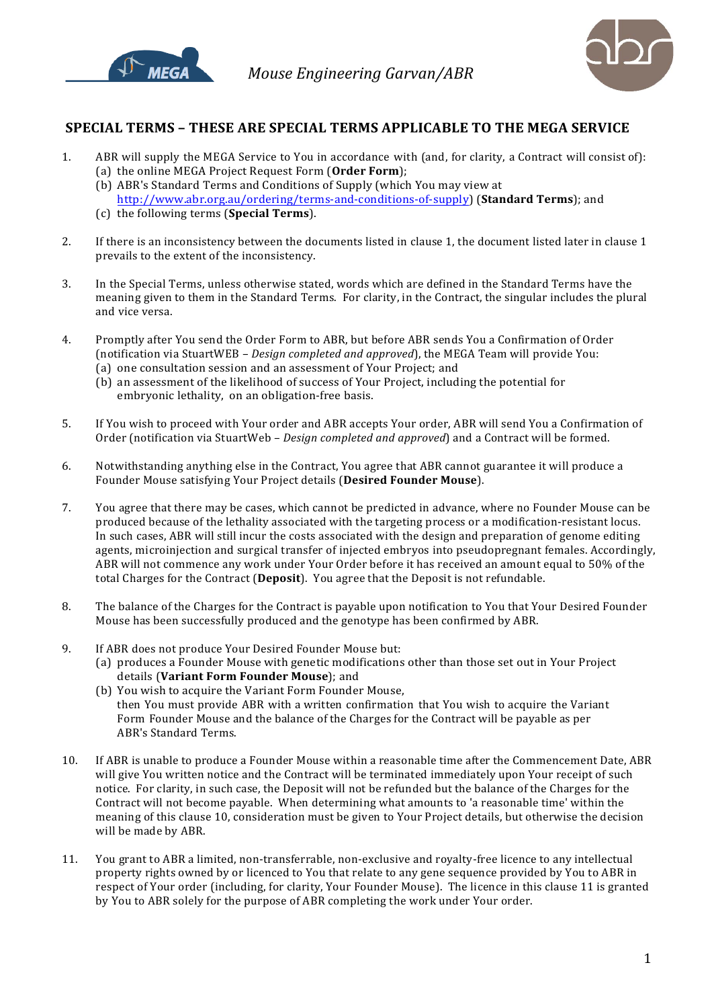



## **SPECIAL TERMS – THESE ARE SPECIAL TERMS APPLICABLE TO THE MEGA SERVICE**

- 1. ABR will supply the MEGA Service to You in accordance with (and, for clarity, a Contract will consist of): (a) the online MEGA Project Request Form (Order Form);
	- (b) ABR's Standard Terms and Conditions of Supply (which You may view at http://www.abr.org.au/ordering/terms-and-conditions-of-supply) (**Standard Terms**); and
	- (c) the following terms (**Special Terms**).
- 2. If there is an inconsistency between the documents listed in clause 1, the document listed later in clause 1 prevails to the extent of the inconsistency.
- 3. In the Special Terms, unless otherwise stated, words which are defined in the Standard Terms have the meaning given to them in the Standard Terms. For clarity, in the Contract, the singular includes the plural and vice versa.
- 4. Promptly after You send the Order Form to ABR, but before ABR sends You a Confirmation of Order (notification via StuartWEB – *Design completed and approved*), the MEGA Team will provide You: (a) one consultation session and an assessment of Your Project; and
	- (b) an assessment of the likelihood of success of Your Project, including the potential for embryonic lethality, on an obligation-free basis.
- 5. If You wish to proceed with Your order and ABR accepts Your order, ABR will send You a Confirmation of Order (notification via StuartWeb – *Design completed and approved*) and a Contract will be formed.
- 6. Notwithstanding anything else in the Contract, You agree that ABR cannot guarantee it will produce a Founder Mouse satisfying Your Project details (**Desired Founder Mouse**).
- 7. You agree that there may be cases, which cannot be predicted in advance, where no Founder Mouse can be produced because of the lethality associated with the targeting process or a modification-resistant locus. In such cases, ABR will still incur the costs associated with the design and preparation of genome editing agents, microinjection and surgical transfer of injected embryos into pseudopregnant females. Accordingly, ABR will not commence any work under Your Order before it has received an amount equal to 50% of the total Charges for the Contract (Deposit). You agree that the Deposit is not refundable.
- 8. The balance of the Charges for the Contract is payable upon notification to You that Your Desired Founder Mouse has been successfully produced and the genotype has been confirmed by ABR.
- 9. If ABR does not produce Your Desired Founder Mouse but:
	- (a) produces a Founder Mouse with genetic modifications other than those set out in Your Project details (Variant Form Founder Mouse); and
	- (b) You wish to acquire the Variant Form Founder Mouse, then You must provide ABR with a written confirmation that You wish to acquire the Variant Form Founder Mouse and the balance of the Charges for the Contract will be payable as per ABR's Standard Terms.
- 10. If ABR is unable to produce a Founder Mouse within a reasonable time after the Commencement Date, ABR will give You written notice and the Contract will be terminated immediately upon Your receipt of such notice. For clarity, in such case, the Deposit will not be refunded but the balance of the Charges for the Contract will not become payable. When determining what amounts to 'a reasonable time' within the meaning of this clause 10, consideration must be given to Your Project details, but otherwise the decision will be made by ABR.
- 11. You grant to ABR a limited, non-transferrable, non-exclusive and royalty-free licence to any intellectual property rights owned by or licenced to You that relate to any gene sequence provided by You to ABR in respect of Your order (including, for clarity, Your Founder Mouse). The licence in this clause 11 is granted by You to ABR solely for the purpose of ABR completing the work under Your order.